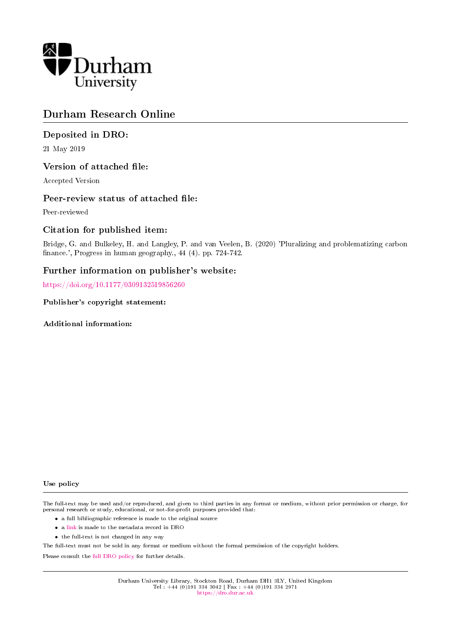

# Durham Research Online

# Deposited in DRO:

21 May 2019

### Version of attached file:

Accepted Version

### Peer-review status of attached file:

Peer-reviewed

# Citation for published item:

Bridge, G. and Bulkeley, H. and Langley, P. and van Veelen, B. (2020) 'Pluralizing and problematizing carbon finance.', Progress in human geography., 44 (4). pp. 724-742.

# Further information on publisher's website:

<https://doi.org/10.1177/0309132519856260>

### Publisher's copyright statement:

Additional information:

#### Use policy

The full-text may be used and/or reproduced, and given to third parties in any format or medium, without prior permission or charge, for personal research or study, educational, or not-for-profit purposes provided that:

- a full bibliographic reference is made to the original source
- a [link](http://dro.dur.ac.uk/28211/) is made to the metadata record in DRO
- the full-text is not changed in any way

The full-text must not be sold in any format or medium without the formal permission of the copyright holders.

Please consult the [full DRO policy](https://dro.dur.ac.uk/policies/usepolicy.pdf) for further details.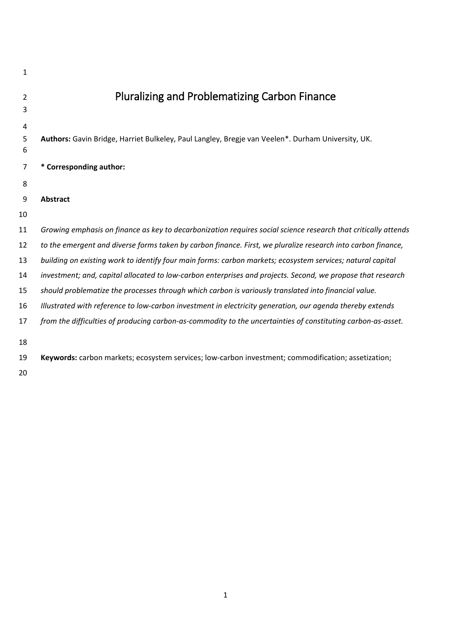| 1      |                                                                                                                |
|--------|----------------------------------------------------------------------------------------------------------------|
| 2      | <b>Pluralizing and Problematizing Carbon Finance</b>                                                           |
| 3      |                                                                                                                |
| 4      |                                                                                                                |
| 5<br>6 | Authors: Gavin Bridge, Harriet Bulkeley, Paul Langley, Bregje van Veelen*. Durham University, UK.              |
| 7      | * Corresponding author:                                                                                        |
| 8      |                                                                                                                |
| 9      | <b>Abstract</b>                                                                                                |
| 10     |                                                                                                                |
| 11     | Growing emphasis on finance as key to decarbonization requires social science research that critically attends |
| 12     | to the emergent and diverse forms taken by carbon finance. First, we pluralize research into carbon finance,   |
| 13     | building on existing work to identify four main forms: carbon markets; ecosystem services; natural capital     |
| 14     | investment; and, capital allocated to low-carbon enterprises and projects. Second, we propose that research    |
| 15     | should problematize the processes through which carbon is variously translated into financial value.           |
| 16     | Illustrated with reference to low-carbon investment in electricity generation, our agenda thereby extends      |
| 17     | from the difficulties of producing carbon-as-commodity to the uncertainties of constituting carbon-as-asset.   |
| 18     |                                                                                                                |
| 19     | Keywords: carbon markets; ecosystem services; low-carbon investment; commodification; assetization;            |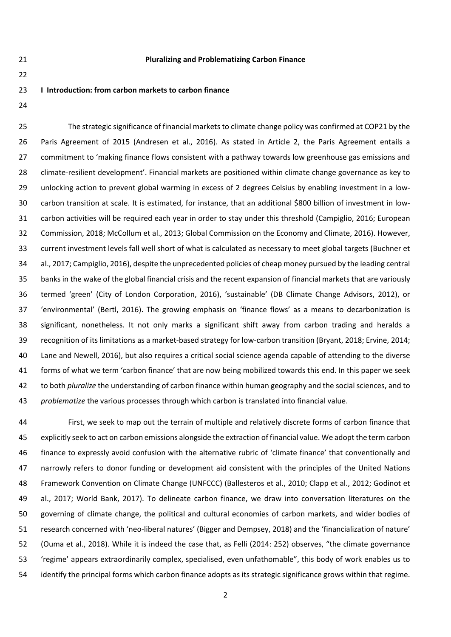### **Pluralizing and Problematizing Carbon Finance**

### **I Introduction: from carbon markets to carbon finance**

 The strategic significance of financial markets to climate change policy was confirmed at COP21 by the Paris Agreement of 2015 (Andresen et al., 2016). As stated in Article 2, the Paris Agreement entails a commitment to 'making finance flows consistent with a pathway towards low greenhouse gas emissions and climate-resilient development'. Financial markets are positioned within climate change governance as key to unlocking action to prevent global warming in excess of 2 degrees Celsius by enabling investment in a low- carbon transition at scale. It is estimated, for instance, that an additional \$800 billion of investment in low- carbon activities will be required each year in order to stay under this threshold (Campiglio, 2016; European Commission, 2018; McCollum et al., 2013; Global Commission on the Economy and Climate, 2016). However, current investment levels fall well short of what is calculated as necessary to meet global targets (Buchner et al., 2017; Campiglio, 2016), despite the unprecedented policies of cheap money pursued by the leading central banks in the wake of the global financial crisis and the recent expansion of financial markets that are variously termed 'green' (City of London Corporation, 2016), 'sustainable' (DB Climate Change Advisors, 2012), or 'environmental' (Bertl, 2016). The growing emphasis on 'finance flows' as a means to decarbonization is significant, nonetheless. It not only marks a significant shift away from carbon trading and heralds a recognition of its limitations as a market-based strategy for low-carbon transition (Bryant, 2018; Ervine, 2014; Lane and Newell, 2016), but also requires a critical social science agenda capable of attending to the diverse forms of what we term 'carbon finance' that are now being mobilized towards this end. In this paper we seek to both *pluralize* the understanding of carbon finance within human geography and the social sciences, and to *problematize* the various processes through which carbon is translated into financial value.

 First, we seek to map out the terrain of multiple and relatively discrete forms of carbon finance that explicitly seek to act on carbon emissions alongside the extraction of financial value. We adopt the term carbon finance to expressly avoid confusion with the alternative rubric of 'climate finance' that conventionally and narrowly refers to donor funding or development aid consistent with the principles of the United Nations Framework Convention on Climate Change (UNFCCC) (Ballesteros et al., 2010; Clapp et al., 2012; Godinot et al., 2017; World Bank, 2017). To delineate carbon finance, we draw into conversation literatures on the governing of climate change, the political and cultural economies of carbon markets, and wider bodies of research concerned with 'neo-liberal natures' (Bigger and Dempsey, 2018) and the 'financialization of nature' (Ouma et al., 2018). While it is indeed the case that, as Felli (2014: 252) observes, "the climate governance 'regime' appears extraordinarily complex, specialised, even unfathomable", this body of work enables us to identify the principal forms which carbon finance adopts as its strategic significance grows within that regime.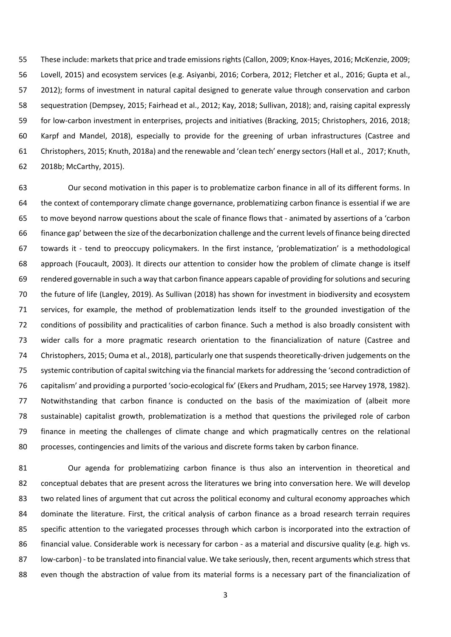These include: markets that price and trade emissions rights (Callon, 2009; Knox-Hayes, 2016; McKenzie, 2009; Lovell, 2015) and ecosystem services (e.g. Asiyanbi, 2016; Corbera, 2012; Fletcher et al., 2016; Gupta et al., 2012); forms of investment in natural capital designed to generate value through conservation and carbon sequestration (Dempsey, 2015; Fairhead et al., 2012; Kay, 2018; Sullivan, 2018); and, raising capital expressly for low-carbon investment in enterprises, projects and initiatives (Bracking, 2015; Christophers, 2016, 2018; Karpf and Mandel, 2018), especially to provide for the greening of urban infrastructures (Castree and Christophers, 2015; Knuth, 2018a) and the renewable and 'clean tech' energy sectors (Hall et al., 2017; Knuth, 2018b; McCarthy, 2015).

 Our second motivation in this paper is to problematize carbon finance in all of its different forms. In the context of contemporary climate change governance, problematizing carbon finance is essential if we are to move beyond narrow questions about the scale of finance flows that - animated by assertions of a 'carbon finance gap' between the size of the decarbonization challenge and the current levels of finance being directed towards it - tend to preoccupy policymakers. In the first instance, 'problematization' is a methodological approach (Foucault, 2003). It directs our attention to consider how the problem of climate change is itself rendered governable in such a way that carbon finance appears capable of providing for solutions and securing the future of life (Langley, 2019). As Sullivan (2018) has shown for investment in biodiversity and ecosystem services, for example, the method of problematization lends itself to the grounded investigation of the conditions of possibility and practicalities of carbon finance. Such a method is also broadly consistent with wider calls for a more pragmatic research orientation to the financialization of nature (Castree and Christophers, 2015; Ouma et al., 2018), particularly one that suspends theoretically-driven judgements on the systemic contribution of capital switching via the financial markets for addressing the 'second contradiction of capitalism' and providing a purported 'socio-ecological fix' (Ekers and Prudham, 2015; see Harvey 1978, 1982). Notwithstanding that carbon finance is conducted on the basis of the maximization of (albeit more sustainable) capitalist growth, problematization is a method that questions the privileged role of carbon finance in meeting the challenges of climate change and which pragmatically centres on the relational processes, contingencies and limits of the various and discrete forms taken by carbon finance.

 Our agenda for problematizing carbon finance is thus also an intervention in theoretical and conceptual debates that are present across the literatures we bring into conversation here. We will develop two related lines of argument that cut across the political economy and cultural economy approaches which dominate the literature. First, the critical analysis of carbon finance as a broad research terrain requires specific attention to the variegated processes through which carbon is incorporated into the extraction of financial value. Considerable work is necessary for carbon - as a material and discursive quality (e.g. high vs. low-carbon) - to be translated into financial value. We take seriously, then, recent arguments which stress that even though the abstraction of value from its material forms is a necessary part of the financialization of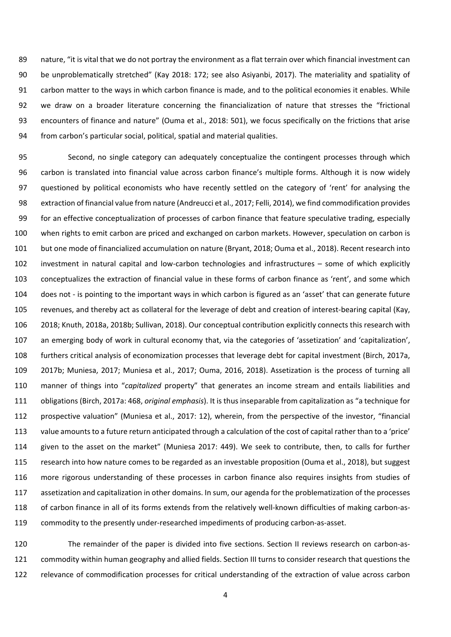nature, "it is vital that we do not portray the environment as a flat terrain over which financial investment can be unproblematically stretched" (Kay 2018: 172; see also Asiyanbi, 2017). The materiality and spatiality of carbon matter to the ways in which carbon finance is made, and to the political economies it enables. While we draw on a broader literature concerning the financialization of nature that stresses the "frictional encounters of finance and nature" (Ouma et al., 2018: 501), we focus specifically on the frictions that arise from carbon's particular social, political, spatial and material qualities.

 Second, no single category can adequately conceptualize the contingent processes through which carbon is translated into financial value across carbon finance's multiple forms. Although it is now widely questioned by political economists who have recently settled on the category of 'rent' for analysing the extraction of financial value from nature (Andreucci et al., 2017; Felli, 2014), we find commodification provides for an effective conceptualization of processes of carbon finance that feature speculative trading, especially when rights to emit carbon are priced and exchanged on carbon markets. However, speculation on carbon is but one mode of financialized accumulation on nature (Bryant, 2018; Ouma et al., 2018). Recent research into investment in natural capital and low-carbon technologies and infrastructures – some of which explicitly conceptualizes the extraction of financial value in these forms of carbon finance as 'rent', and some which does not - is pointing to the important ways in which carbon is figured as an 'asset' that can generate future revenues, and thereby act as collateral for the leverage of debt and creation of interest-bearing capital (Kay, 2018; Knuth, 2018a, 2018b; Sullivan, 2018). Our conceptual contribution explicitly connects this research with an emerging body of work in cultural economy that, via the categories of 'assetization' and 'capitalization', furthers critical analysis of economization processes that leverage debt for capital investment (Birch, 2017a, 2017b; Muniesa, 2017; Muniesa et al., 2017; Ouma, 2016, 2018). Assetization is the process of turning all manner of things into "*capitalized* property" that generates an income stream and entails liabilities and obligations (Birch, 2017a: 468, *original emphasis*). It is thus inseparable from capitalization as "a technique for prospective valuation" (Muniesa et al., 2017: 12), wherein, from the perspective of the investor, "financial value amounts to a future return anticipated through a calculation of the cost of capital rather than to a 'price' given to the asset on the market" (Muniesa 2017: 449). We seek to contribute, then, to calls for further research into how nature comes to be regarded as an investable proposition (Ouma et al., 2018), but suggest more rigorous understanding of these processes in carbon finance also requires insights from studies of assetization and capitalization in other domains. In sum, our agenda for the problematization of the processes of carbon finance in all of its forms extends from the relatively well-known difficulties of making carbon-as-commodity to the presently under-researched impediments of producing carbon-as-asset.

 The remainder of the paper is divided into five sections. Section II reviews research on carbon-as- commodity within human geography and allied fields. Section III turns to consider research that questions the relevance of commodification processes for critical understanding of the extraction of value across carbon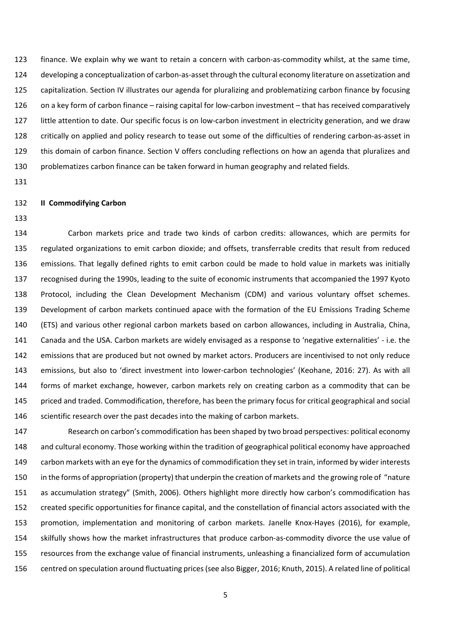finance. We explain why we want to retain a concern with carbon-as-commodity whilst, at the same time, developing a conceptualization of carbon-as-asset through the cultural economy literature on assetization and capitalization. Section IV illustrates our agenda for pluralizing and problematizing carbon finance by focusing on a key form of carbon finance – raising capital for low-carbon investment – that has received comparatively little attention to date. Our specific focus is on low-carbon investment in electricity generation, and we draw critically on applied and policy research to tease out some of the difficulties of rendering carbon-as-asset in this domain of carbon finance. Section V offers concluding reflections on how an agenda that pluralizes and problematizes carbon finance can be taken forward in human geography and related fields.

### **II Commodifying Carbon**

 Carbon markets price and trade two kinds of carbon credits: allowances, which are permits for regulated organizations to emit carbon dioxide; and offsets, transferrable credits that result from reduced emissions. That legally defined rights to emit carbon could be made to hold value in markets was initially recognised during the 1990s, leading to the suite of economic instruments that accompanied the 1997 Kyoto Protocol, including the Clean Development Mechanism (CDM) and various voluntary offset schemes. Development of carbon markets continued apace with the formation of the EU Emissions Trading Scheme (ETS) and various other regional carbon markets based on carbon allowances, including in Australia, China, Canada and the USA. Carbon markets are widely envisaged as a response to 'negative externalities' - i.e. the emissions that are produced but not owned by market actors. Producers are incentivised to not only reduce emissions, but also to 'direct investment into lower-carbon technologies' (Keohane, 2016: 27). As with all forms of market exchange, however, carbon markets rely on creating carbon as a commodity that can be priced and traded. Commodification, therefore, has been the primary focus for critical geographical and social 146 scientific research over the past decades into the making of carbon markets.

 Research on carbon's commodification has been shaped by two broad perspectives: political economy and cultural economy. Those working within the tradition of geographical political economy have approached 149 carbon markets with an eye for the dynamics of commodification they set in train, informed by wider interests in the forms of appropriation (property) that underpin the creation of markets and the growing role of "nature as accumulation strategy" (Smith, 2006). Others highlight more directly how carbon's commodification has created specific opportunities for finance capital, and the constellation of financial actors associated with the promotion, implementation and monitoring of carbon markets. Janelle Knox-Hayes (2016), for example, skilfully shows how the market infrastructures that produce carbon-as-commodity divorce the use value of resources from the exchange value of financial instruments, unleashing a financialized form of accumulation centred on speculation around fluctuating prices (see also Bigger, 2016; Knuth, 2015). A related line of political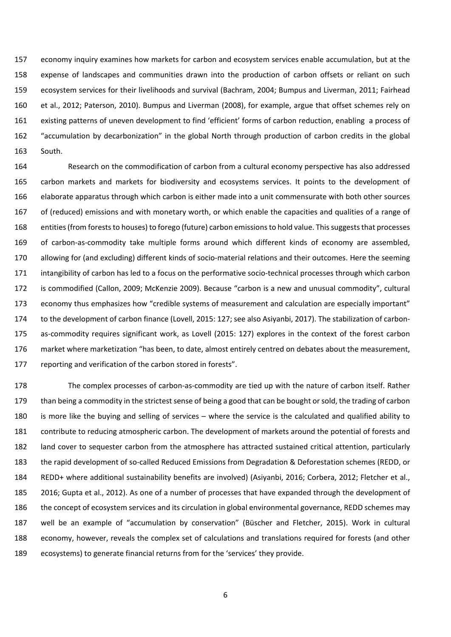economy inquiry examines how markets for carbon and ecosystem services enable accumulation, but at the expense of landscapes and communities drawn into the production of carbon offsets or reliant on such ecosystem services for their livelihoods and survival (Bachram, 2004; Bumpus and Liverman, 2011; Fairhead et al., 2012; Paterson, 2010). Bumpus and Liverman (2008), for example, argue that offset schemes rely on existing patterns of uneven development to find 'efficient' forms of carbon reduction, enabling a process of "accumulation by decarbonization" in the global North through production of carbon credits in the global South.

 Research on the commodification of carbon from a cultural economy perspective has also addressed carbon markets and markets for biodiversity and ecosystems services. It points to the development of elaborate apparatus through which carbon is either made into a unit commensurate with both other sources of (reduced) emissions and with monetary worth, or which enable the capacities and qualities of a range of 168 entities (from forests to houses) to forego (future) carbon emissions to hold value. This suggests that processes of carbon-as-commodity take multiple forms around which different kinds of economy are assembled, allowing for (and excluding) different kinds of socio-material relations and their outcomes. Here the seeming intangibility of carbon has led to a focus on the performative socio-technical processes through which carbon is commodified (Callon, 2009; McKenzie 2009). Because "carbon is a new and unusual commodity", cultural economy thus emphasizes how "credible systems of measurement and calculation are especially important" to the development of carbon finance (Lovell, 2015: 127; see also Asiyanbi, 2017). The stabilization of carbon- as-commodity requires significant work, as Lovell (2015: 127) explores in the context of the forest carbon market where marketization "has been, to date, almost entirely centred on debates about the measurement, reporting and verification of the carbon stored in forests".

 The complex processes of carbon-as-commodity are tied up with the nature of carbon itself. Rather than being a commodity in the strictest sense of being a good that can be bought or sold, the trading of carbon is more like the buying and selling of services – where the service is the calculated and qualified ability to contribute to reducing atmospheric carbon. The development of markets around the potential of forests and land cover to sequester carbon from the atmosphere has attracted sustained critical attention, particularly the rapid development of so-called Reduced Emissions from Degradation & Deforestation schemes (REDD, or REDD+ where additional sustainability benefits are involved) (Asiyanbi, 2016; Corbera, 2012; Fletcher et al., 2016; Gupta et al., 2012). As one of a number of processes that have expanded through the development of the concept of ecosystem services and its circulation in global environmental governance, REDD schemes may well be an example of "accumulation by conservation" (Büscher and Fletcher, 2015). Work in cultural economy, however, reveals the complex set of calculations and translations required for forests (and other ecosystems) to generate financial returns from for the 'services' they provide.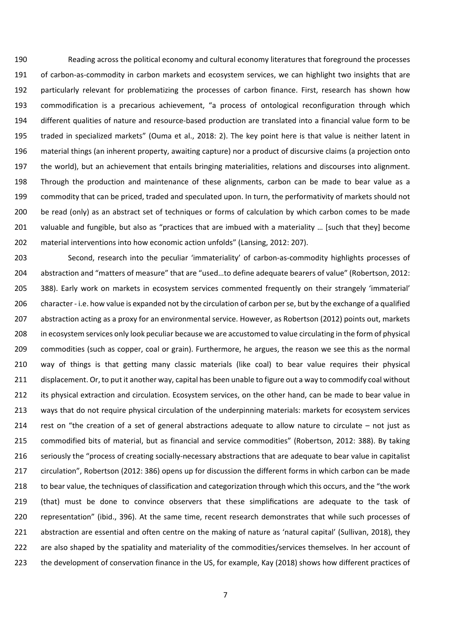Reading across the political economy and cultural economy literatures that foreground the processes of carbon-as-commodity in carbon markets and ecosystem services, we can highlight two insights that are particularly relevant for problematizing the processes of carbon finance. First, research has shown how commodification is a precarious achievement, "a process of ontological reconfiguration through which different qualities of nature and resource-based production are translated into a financial value form to be traded in specialized markets" (Ouma et al., 2018: 2). The key point here is that value is neither latent in material things (an inherent property, awaiting capture) nor a product of discursive claims (a projection onto the world), but an achievement that entails bringing materialities, relations and discourses into alignment. Through the production and maintenance of these alignments, carbon can be made to bear value as a commodity that can be priced, traded and speculated upon. In turn, the performativity of markets should not be read (only) as an abstract set of techniques or forms of calculation by which carbon comes to be made 201 valuable and fungible, but also as "practices that are imbued with a materiality ... [such that they] become material interventions into how economic action unfolds" (Lansing, 2012: 207).

 Second, research into the peculiar 'immateriality' of carbon-as-commodity highlights processes of abstraction and "matters of measure" that are "used…to define adequate bearers of value" (Robertson, 2012: 388). Early work on markets in ecosystem services commented frequently on their strangely 'immaterial' character - i.e. how value is expanded not by the circulation of carbon per se, but by the exchange of a qualified abstraction acting as a proxy for an environmental service. However, as Robertson (2012) points out, markets in ecosystem services only look peculiar because we are accustomed to value circulating in the form of physical commodities (such as copper, coal or grain). Furthermore, he argues, the reason we see this as the normal way of things is that getting many classic materials (like coal) to bear value requires their physical displacement. Or, to put it another way, capital has been unable to figure out a way to commodify coal without its physical extraction and circulation. Ecosystem services, on the other hand, can be made to bear value in ways that do not require physical circulation of the underpinning materials: markets for ecosystem services rest on "the creation of a set of general abstractions adequate to allow nature to circulate – not just as commodified bits of material, but as financial and service commodities" (Robertson, 2012: 388). By taking seriously the "process of creating socially-necessary abstractions that are adequate to bear value in capitalist circulation", Robertson (2012: 386) opens up for discussion the different forms in which carbon can be made to bear value, the techniques of classification and categorization through which this occurs, and the "the work (that) must be done to convince observers that these simplifications are adequate to the task of representation" (ibid., 396). At the same time, recent research demonstrates that while such processes of abstraction are essential and often centre on the making of nature as 'natural capital' (Sullivan, 2018), they are also shaped by the spatiality and materiality of the commodities/services themselves. In her account of the development of conservation finance in the US, for example, Kay (2018) shows how different practices of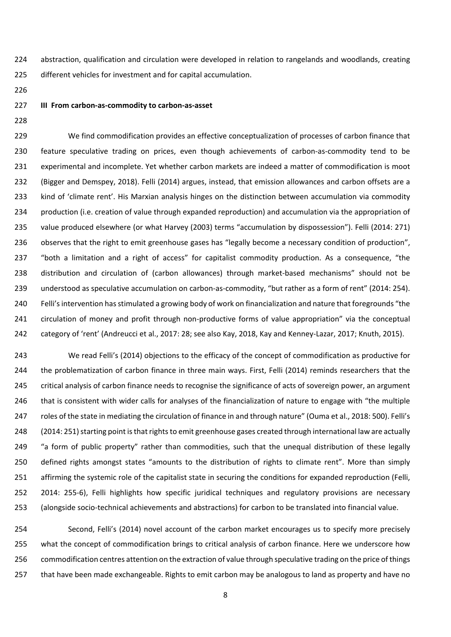abstraction, qualification and circulation were developed in relation to rangelands and woodlands, creating different vehicles for investment and for capital accumulation.

- 
- 

#### **III From carbon-as-commodity to carbon-as-asset**

 We find commodification provides an effective conceptualization of processes of carbon finance that feature speculative trading on prices, even though achievements of carbon-as-commodity tend to be experimental and incomplete. Yet whether carbon markets are indeed a matter of commodification is moot (Bigger and Demspey, 2018). Felli (2014) argues, instead, that emission allowances and carbon offsets are a kind of 'climate rent'. His Marxian analysis hinges on the distinction between accumulation via commodity production (i.e. creation of value through expanded reproduction) and accumulation via the appropriation of value produced elsewhere (or what Harvey (2003) terms "accumulation by dispossession"). Felli (2014: 271) 236 observes that the right to emit greenhouse gases has "legally become a necessary condition of production", "both a limitation and a right of access" for capitalist commodity production. As a consequence, "the distribution and circulation of (carbon allowances) through market-based mechanisms" should not be understood as speculative accumulation on carbon-as-commodity, "but rather as a form of rent" (2014: 254). Felli's intervention has stimulated a growing body of work on financialization and nature that foregrounds "the circulation of money and profit through non-productive forms of value appropriation" via the conceptual category of 'rent' (Andreucci et al., 2017: 28; see also Kay, 2018, Kay and Kenney-Lazar, 2017; Knuth, 2015).

 We read Felli's (2014) objections to the efficacy of the concept of commodification as productive for the problematization of carbon finance in three main ways. First, Felli (2014) reminds researchers that the critical analysis of carbon finance needs to recognise the significance of acts of sovereign power, an argument that is consistent with wider calls for analyses of the financialization of nature to engage with "the multiple roles of the state in mediating the circulation of finance in and through nature" (Ouma et al., 2018: 500). Felli's (2014: 251) starting point is that rights to emit greenhouse gases created through international law are actually 249 "a form of public property" rather than commodities, such that the unequal distribution of these legally defined rights amongst states "amounts to the distribution of rights to climate rent". More than simply affirming the systemic role of the capitalist state in securing the conditions for expanded reproduction (Felli, 2014: 255-6), Felli highlights how specific juridical techniques and regulatory provisions are necessary (alongside socio-technical achievements and abstractions) for carbon to be translated into financial value.

 Second, Felli's (2014) novel account of the carbon market encourages us to specify more precisely what the concept of commodification brings to critical analysis of carbon finance. Here we underscore how commodification centres attention on the extraction of value through speculative trading on the price of things that have been made exchangeable. Rights to emit carbon may be analogous to land as property and have no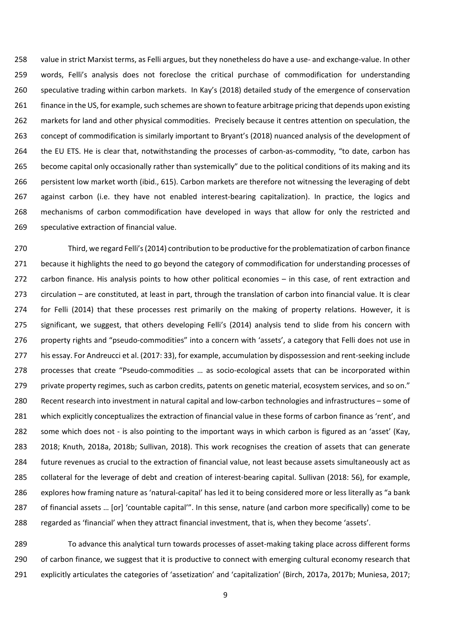value in strict Marxist terms, as Felli argues, but they nonetheless do have a use- and exchange-value. In other words, Felli's analysis does not foreclose the critical purchase of commodification for understanding speculative trading within carbon markets. In Kay's (2018) detailed study of the emergence of conservation finance in the US, for example, such schemes are shown to feature arbitrage pricing that depends upon existing markets for land and other physical commodities. Precisely because it centres attention on speculation, the concept of commodification is similarly important to Bryant's (2018) nuanced analysis of the development of the EU ETS. He is clear that, notwithstanding the processes of carbon-as-commodity, "to date, carbon has 265 become capital only occasionally rather than systemically" due to the political conditions of its making and its persistent low market worth (ibid., 615). Carbon markets are therefore not witnessing the leveraging of debt against carbon (i.e. they have not enabled interest-bearing capitalization). In practice, the logics and mechanisms of carbon commodification have developed in ways that allow for only the restricted and speculative extraction of financial value.

 Third, we regard Felli's (2014) contribution to be productive for the problematization of carbon finance because it highlights the need to go beyond the category of commodification for understanding processes of carbon finance. His analysis points to how other political economies – in this case, of rent extraction and circulation – are constituted, at least in part, through the translation of carbon into financial value. It is clear for Felli (2014) that these processes rest primarily on the making of property relations. However, it is significant, we suggest, that others developing Felli's (2014) analysis tend to slide from his concern with 276 property rights and "pseudo-commodities" into a concern with 'assets', a category that Felli does not use in his essay. For Andreucci et al. (2017: 33), for example, accumulation by dispossession and rent-seeking include processes that create "Pseudo-commodities … as socio-ecological assets that can be incorporated within 279 private property regimes, such as carbon credits, patents on genetic material, ecosystem services, and so on." Recent research into investment in natural capital and low-carbon technologies and infrastructures – some of which explicitly conceptualizes the extraction of financial value in these forms of carbon finance as 'rent', and some which does not - is also pointing to the important ways in which carbon is figured as an 'asset' (Kay, 2018; Knuth, 2018a, 2018b; Sullivan, 2018). This work recognises the creation of assets that can generate future revenues as crucial to the extraction of financial value, not least because assets simultaneously act as collateral for the leverage of debt and creation of interest-bearing capital. Sullivan (2018: 56), for example, explores how framing nature as 'natural-capital' has led it to being considered more or less literally as "a bank of financial assets … [or] 'countable capital'". In this sense, nature (and carbon more specifically) come to be regarded as 'financial' when they attract financial investment, that is, when they become 'assets'.

 To advance this analytical turn towards processes of asset-making taking place across different forms 290 of carbon finance, we suggest that it is productive to connect with emerging cultural economy research that explicitly articulates the categories of 'assetization' and 'capitalization' (Birch, 2017a, 2017b; Muniesa, 2017;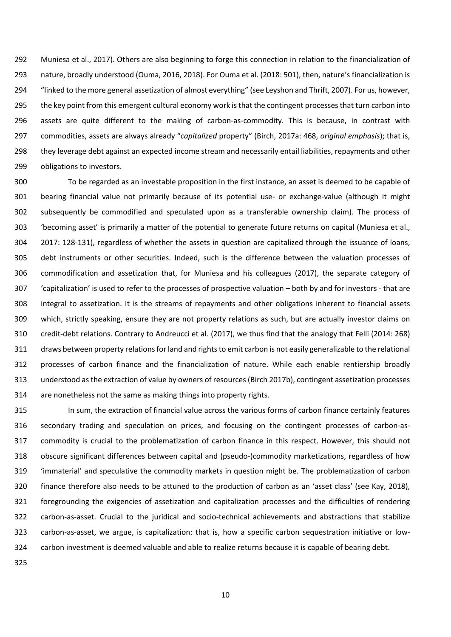Muniesa et al., 2017). Others are also beginning to forge this connection in relation to the financialization of nature, broadly understood (Ouma, 2016, 2018). For Ouma et al. (2018: 501), then, nature's financialization is "linked to the more general assetization of almost everything" (see Leyshon and Thrift, 2007). For us, however, 295 the key point from this emergent cultural economy work is that the contingent processes that turn carbon into assets are quite different to the making of carbon-as-commodity. This is because, in contrast with commodities, assets are always already "*capitalized* property" (Birch, 2017a: 468, *original emphasis*); that is, they leverage debt against an expected income stream and necessarily entail liabilities, repayments and other obligations to investors.

 To be regarded as an investable proposition in the first instance, an asset is deemed to be capable of bearing financial value not primarily because of its potential use- or exchange-value (although it might subsequently be commodified and speculated upon as a transferable ownership claim). The process of 'becoming asset' is primarily a matter of the potential to generate future returns on capital (Muniesa et al., 2017: 128-131), regardless of whether the assets in question are capitalized through the issuance of loans, debt instruments or other securities. Indeed, such is the difference between the valuation processes of commodification and assetization that, for Muniesa and his colleagues (2017), the separate category of 'capitalization' is used to refer to the processes of prospective valuation – both by and for investors - that are integral to assetization. It is the streams of repayments and other obligations inherent to financial assets which, strictly speaking, ensure they are not property relations as such, but are actually investor claims on credit-debt relations. Contrary to Andreucci et al. (2017), we thus find that the analogy that Felli (2014: 268) draws between property relationsfor land and rights to emit carbon is not easily generalizable to the relational processes of carbon finance and the financialization of nature. While each enable rentiership broadly understood as the extraction of value by owners of resources (Birch 2017b), contingent assetization processes are nonetheless not the same as making things into property rights.

 In sum, the extraction of financial value across the various forms of carbon finance certainly features secondary trading and speculation on prices, and focusing on the contingent processes of carbon-as- commodity is crucial to the problematization of carbon finance in this respect. However, this should not obscure significant differences between capital and (pseudo-)commodity marketizations, regardless of how 'immaterial' and speculative the commodity markets in question might be. The problematization of carbon finance therefore also needs to be attuned to the production of carbon as an 'asset class' (see Kay, 2018), foregrounding the exigencies of assetization and capitalization processes and the difficulties of rendering carbon-as-asset. Crucial to the juridical and socio-technical achievements and abstractions that stabilize carbon-as-asset, we argue, is capitalization: that is, how a specific carbon sequestration initiative or low-carbon investment is deemed valuable and able to realize returns because it is capable of bearing debt.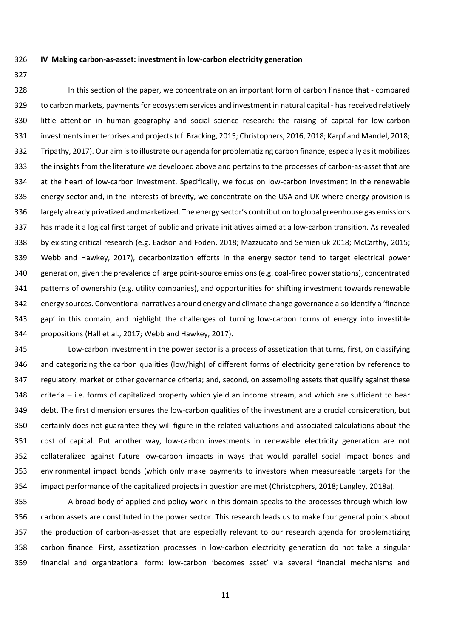**IV Making carbon-as-asset: investment in low-carbon electricity generation**

 In this section of the paper, we concentrate on an important form of carbon finance that - compared to carbon markets, payments for ecosystem services and investment in natural capital - has received relatively little attention in human geography and social science research: the raising of capital for low-carbon investmentsin enterprises and projects(cf. Bracking, 2015; Christophers, 2016, 2018; Karpf and Mandel, 2018; Tripathy, 2017). Our aim is to illustrate our agenda for problematizing carbon finance, especially as it mobilizes the insights from the literature we developed above and pertains to the processes of carbon-as-asset that are at the heart of low-carbon investment. Specifically, we focus on low-carbon investment in the renewable energy sector and, in the interests of brevity, we concentrate on the USA and UK where energy provision is largely already privatized and marketized. The energy sector's contribution to global greenhouse gas emissions has made it a logical first target of public and private initiatives aimed at a low-carbon transition. As revealed by existing critical research (e.g. Eadson and Foden, 2018; Mazzucato and Semieniuk 2018; McCarthy, 2015; Webb and Hawkey, 2017), decarbonization efforts in the energy sector tend to target electrical power generation, given the prevalence of large point-source emissions (e.g. coal-fired power stations), concentrated patterns of ownership (e.g. utility companies), and opportunities for shifting investment towards renewable energy sources. Conventional narratives around energy and climate change governance also identify a 'finance gap' in this domain, and highlight the challenges of turning low-carbon forms of energy into investible propositions (Hall et al., 2017; Webb and Hawkey, 2017).

 Low-carbon investment in the power sector is a process of assetization that turns, first, on classifying and categorizing the carbon qualities (low/high) of different forms of electricity generation by reference to regulatory, market or other governance criteria; and, second, on assembling assets that qualify against these criteria – i.e. forms of capitalized property which yield an income stream, and which are sufficient to bear debt. The first dimension ensures the low-carbon qualities of the investment are a crucial consideration, but certainly does not guarantee they will figure in the related valuations and associated calculations about the cost of capital. Put another way, low-carbon investments in renewable electricity generation are not collateralized against future low-carbon impacts in ways that would parallel social impact bonds and environmental impact bonds (which only make payments to investors when measureable targets for the impact performance of the capitalized projects in question are met (Christophers, 2018; Langley, 2018a).

 A broad body of applied and policy work in this domain speaks to the processes through which low- carbon assets are constituted in the power sector. This research leads us to make four general points about the production of carbon-as-asset that are especially relevant to our research agenda for problematizing carbon finance. First, assetization processes in low-carbon electricity generation do not take a singular financial and organizational form: low-carbon 'becomes asset' via several financial mechanisms and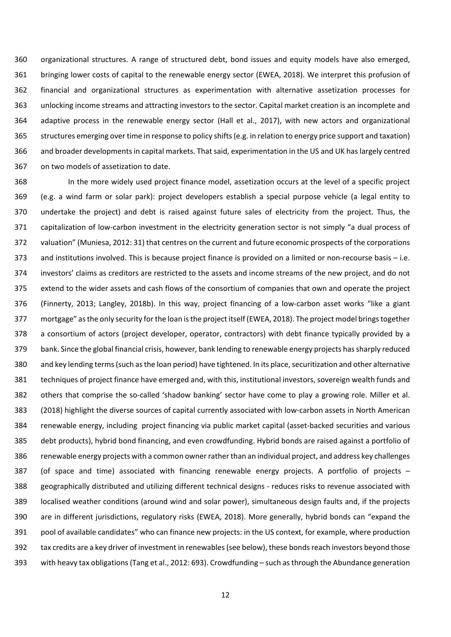organizational structures. A range of structured debt, bond issues and equity models have also emerged, bringing lower costs of capital to the renewable energy sector (EWEA, 2018). We interpret this profusion of financial and organizational structures as experimentation with alternative assetization processes for unlocking income streams and attracting investors to the sector. Capital market creation is an incomplete and adaptive process in the renewable energy sector (Hall et al., 2017), with new actors and organizational structures emerging over time in response to policy shifts (e.g. in relation to energy price support and taxation) and broader developments in capital markets. That said, experimentation in the US and UK has largely centred on two models of assetization to date.

 In the more widely used project finance model, assetization occurs at the level of a specific project (e.g. a wind farm or solar park): project developers establish a special purpose vehicle (a legal entity to undertake the project) and debt is raised against future sales of electricity from the project. Thus, the capitalization of low-carbon investment in the electricity generation sector is not simply "a dual process of valuation" (Muniesa, 2012: 31) that centres on the current and future economic prospects of the corporations and institutions involved. This is because project finance is provided on a limited or non-recourse basis – i.e. investors' claims as creditors are restricted to the assets and income streams of the new project, and do not extend to the wider assets and cash flows of the consortium of companies that own and operate the project (Finnerty, 2013; Langley, 2018b). In this way, project financing of a low-carbon asset works "like a giant mortgage" as the only security for the loan is the project itself (EWEA, 2018). The project model brings together a consortium of actors (project developer, operator, contractors) with debt finance typically provided by a bank. Since the global financial crisis, however, bank lending to renewable energy projects has sharply reduced and key lending terms (such as the loan period) have tightened. In its place, securitization and other alternative techniques of project finance have emerged and, with this, institutional investors, sovereign wealth funds and others that comprise the so-called 'shadow banking' sector have come to play a growing role. Miller et al. (2018) highlight the diverse sources of capital currently associated with low-carbon assets in North American renewable energy, including project financing via public market capital (asset-backed securities and various debt products), hybrid bond financing, and even crowdfunding. Hybrid bonds are raised against a portfolio of renewable energy projects with a common owner rather than an individual project, and address key challenges (of space and time) associated with financing renewable energy projects. A portfolio of projects – geographically distributed and utilizing different technical designs - reduces risks to revenue associated with localised weather conditions (around wind and solar power), simultaneous design faults and, if the projects are in different jurisdictions, regulatory risks (EWEA, 2018). More generally, hybrid bonds can "expand the pool of available candidates" who can finance new projects: in the US context, for example, where production tax credits are a key driver of investment in renewables (see below), these bonds reach investors beyond those with heavy tax obligations (Tang et al., 2012: 693). Crowdfunding – such asthrough the Abundance generation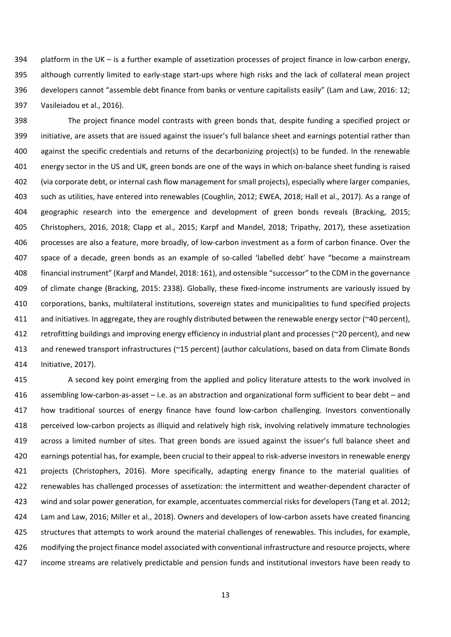platform in the UK – is a further example of assetization processes of project finance in low-carbon energy, although currently limited to early-stage start-ups where high risks and the lack of collateral mean project developers cannot "assemble debt finance from banks or venture capitalists easily" (Lam and Law, 2016: 12; Vasileiadou et al., 2016).

 The project finance model contrasts with green bonds that, despite funding a specified project or initiative, are assets that are issued against the issuer's full balance sheet and earnings potential rather than against the specific credentials and returns of the decarbonizing project(s) to be funded. In the renewable energy sector in the US and UK, green bonds are one of the ways in which on-balance sheet funding is raised (via corporate debt, or internal cash flow management for small projects), especially where larger companies, such as utilities, have entered into renewables (Coughlin, 2012; EWEA, 2018; Hall et al., 2017). As a range of geographic research into the emergence and development of green bonds reveals (Bracking, 2015; Christophers, 2016, 2018; Clapp et al., 2015; Karpf and Mandel, 2018; Tripathy, 2017), these assetization processes are also a feature, more broadly, of low-carbon investment as a form of carbon finance. Over the space of a decade, green bonds as an example of so-called 'labelled debt' have "become a mainstream financial instrument" (Karpf and Mandel, 2018: 161), and ostensible "successor" to the CDM in the governance of climate change (Bracking, 2015: 2338). Globally, these fixed-income instruments are variously issued by corporations, banks, multilateral institutions, sovereign states and municipalities to fund specified projects and initiatives. In aggregate, they are roughly distributed between the renewable energy sector (~40 percent), 412 retrofitting buildings and improving energy efficiency in industrial plant and processes (~20 percent), and new and renewed transport infrastructures (~15 percent) (author calculations, based on data from Climate Bonds Initiative, 2017).

 A second key point emerging from the applied and policy literature attests to the work involved in assembling low-carbon-as-asset – i.e. as an abstraction and organizational form sufficient to bear debt – and how traditional sources of energy finance have found low-carbon challenging. Investors conventionally perceived low-carbon projects as illiquid and relatively high risk, involving relatively immature technologies across a limited number of sites. That green bonds are issued against the issuer's full balance sheet and earnings potential has, for example, been crucial to their appeal to risk-adverse investors in renewable energy projects (Christophers, 2016). More specifically, adapting energy finance to the material qualities of renewables has challenged processes of assetization: the intermittent and weather-dependent character of wind and solar power generation, for example, accentuates commercial risks for developers (Tang et al. 2012; Lam and Law, 2016; Miller et al., 2018). Owners and developers of low-carbon assets have created financing structures that attempts to work around the material challenges of renewables. This includes, for example, modifying the project finance model associated with conventional infrastructure and resource projects, where income streams are relatively predictable and pension funds and institutional investors have been ready to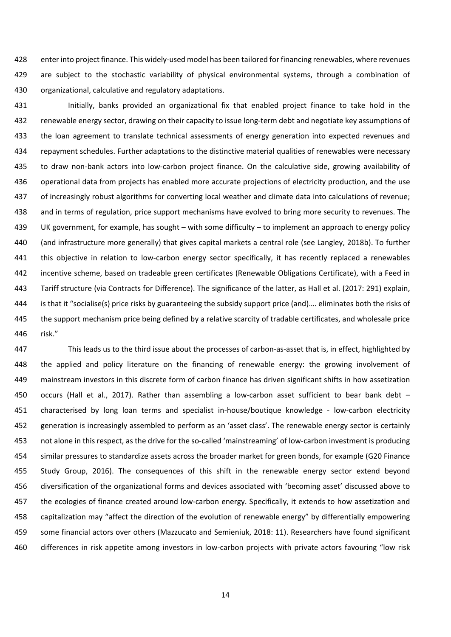enter into project finance. This widely-used model has been tailored for financing renewables, where revenues 429 are subject to the stochastic variability of physical environmental systems, through a combination of organizational, calculative and regulatory adaptations.

 Initially, banks provided an organizational fix that enabled project finance to take hold in the renewable energy sector, drawing on their capacity to issue long-term debt and negotiate key assumptions of 433 the loan agreement to translate technical assessments of energy generation into expected revenues and repayment schedules. Further adaptations to the distinctive material qualities of renewables were necessary to draw non-bank actors into low-carbon project finance. On the calculative side, growing availability of operational data from projects has enabled more accurate projections of electricity production, and the use of increasingly robust algorithms for converting local weather and climate data into calculations of revenue; and in terms of regulation, price support mechanisms have evolved to bring more security to revenues. The UK government, for example, has sought – with some difficulty – to implement an approach to energy policy (and infrastructure more generally) that gives capital markets a central role (see Langley, 2018b). To further this objective in relation to low-carbon energy sector specifically, it has recently replaced a renewables incentive scheme, based on tradeable green certificates (Renewable Obligations Certificate), with a Feed in Tariff structure (via Contracts for Difference). The significance of the latter, as Hall et al. (2017: 291) explain, is that it "socialise(s) price risks by guaranteeing the subsidy support price (and)…. eliminates both the risks of the support mechanism price being defined by a relative scarcity of tradable certificates, and wholesale price risk."

 This leads us to the third issue about the processes of carbon-as-asset that is, in effect, highlighted by the applied and policy literature on the financing of renewable energy: the growing involvement of mainstream investors in this discrete form of carbon finance has driven significant shifts in how assetization occurs (Hall et al., 2017). Rather than assembling a low-carbon asset sufficient to bear bank debt – characterised by long loan terms and specialist in-house/boutique knowledge - low-carbon electricity 452 generation is increasingly assembled to perform as an 'asset class'. The renewable energy sector is certainly not alone in this respect, as the drive for the so-called 'mainstreaming' of low-carbon investment is producing similar pressures to standardize assets across the broader market for green bonds, for example (G20 Finance Study Group, 2016). The consequences of this shift in the renewable energy sector extend beyond diversification of the organizational forms and devices associated with 'becoming asset' discussed above to the ecologies of finance created around low-carbon energy. Specifically, it extends to how assetization and capitalization may "affect the direction of the evolution of renewable energy" by differentially empowering some financial actors over others (Mazzucato and Semieniuk, 2018: 11). Researchers have found significant differences in risk appetite among investors in low-carbon projects with private actors favouring "low risk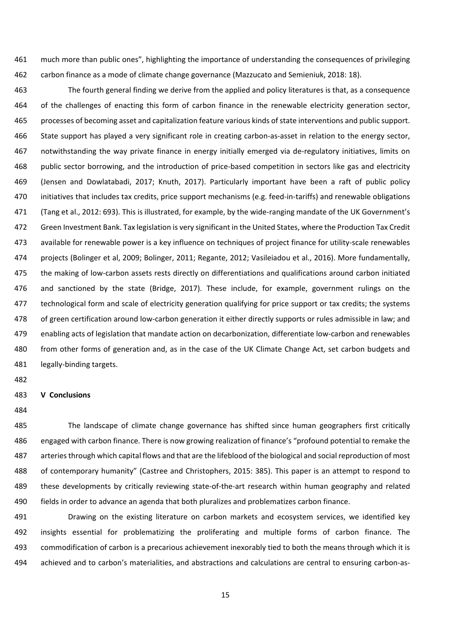much more than public ones", highlighting the importance of understanding the consequences of privileging carbon finance as a mode of climate change governance (Mazzucato and Semieniuk, 2018: 18).

 The fourth general finding we derive from the applied and policy literatures is that, as a consequence of the challenges of enacting this form of carbon finance in the renewable electricity generation sector, processes of becoming asset and capitalization feature various kinds of state interventions and public support. State support has played a very significant role in creating carbon-as-asset in relation to the energy sector, notwithstanding the way private finance in energy initially emerged via de-regulatory initiatives, limits on public sector borrowing, and the introduction of price-based competition in sectors like gas and electricity (Jensen and Dowlatabadi, 2017; Knuth, 2017). Particularly important have been a raft of public policy initiatives that includes tax credits, price support mechanisms (e.g. feed-in-tariffs) and renewable obligations (Tang et al., 2012: 693). This is illustrated, for example, by the wide-ranging mandate of the UK Government's Green Investment Bank. Tax legislation is very significant in the United States, where the Production Tax Credit available for renewable power is a key influence on techniques of project finance for utility-scale renewables projects (Bolinger et al, 2009; Bolinger, 2011; Regante, 2012; Vasileiadou et al., 2016). More fundamentally, 475 the making of low-carbon assets rests directly on differentiations and qualifications around carbon initiated and sanctioned by the state (Bridge, 2017). These include, for example, government rulings on the technological form and scale of electricity generation qualifying for price support or tax credits; the systems of green certification around low-carbon generation it either directly supports or rules admissible in law; and enabling acts of legislation that mandate action on decarbonization, differentiate low-carbon and renewables from other forms of generation and, as in the case of the UK Climate Change Act, set carbon budgets and legally-binding targets.

#### **V Conclusions**

 The landscape of climate change governance has shifted since human geographers first critically engaged with carbon finance. There is now growing realization of finance's "profound potential to remake the arteries through which capital flows and that are the lifeblood of the biological and social reproduction of most of contemporary humanity" (Castree and Christophers, 2015: 385). This paper is an attempt to respond to these developments by critically reviewing state-of-the-art research within human geography and related fields in order to advance an agenda that both pluralizes and problematizes carbon finance.

491 Drawing on the existing literature on carbon markets and ecosystem services, we identified key insights essential for problematizing the proliferating and multiple forms of carbon finance. The commodification of carbon is a precarious achievement inexorably tied to both the means through which it is achieved and to carbon's materialities, and abstractions and calculations are central to ensuring carbon-as-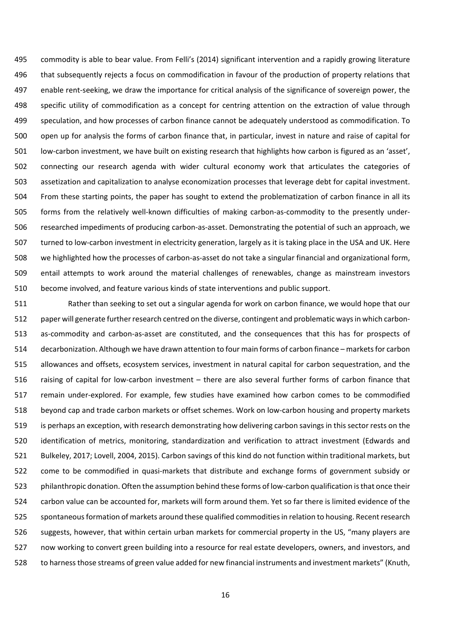commodity is able to bear value. From Felli's (2014) significant intervention and a rapidly growing literature that subsequently rejects a focus on commodification in favour of the production of property relations that enable rent-seeking, we draw the importance for critical analysis of the significance of sovereign power, the specific utility of commodification as a concept for centring attention on the extraction of value through speculation, and how processes of carbon finance cannot be adequately understood as commodification. To open up for analysis the forms of carbon finance that, in particular, invest in nature and raise of capital for low-carbon investment, we have built on existing research that highlights how carbon is figured as an 'asset', connecting our research agenda with wider cultural economy work that articulates the categories of assetization and capitalization to analyse economization processes that leverage debt for capital investment. From these starting points, the paper has sought to extend the problematization of carbon finance in all its forms from the relatively well-known difficulties of making carbon-as-commodity to the presently under- researched impediments of producing carbon-as-asset. Demonstrating the potential of such an approach, we turned to low-carbon investment in electricity generation, largely as it is taking place in the USA and UK. Here we highlighted how the processes of carbon-as-asset do not take a singular financial and organizational form, entail attempts to work around the material challenges of renewables, change as mainstream investors become involved, and feature various kinds of state interventions and public support.

 Rather than seeking to set out a singular agenda for work on carbon finance, we would hope that our paper will generate further research centred on the diverse, contingent and problematic ways in which carbon- as-commodity and carbon-as-asset are constituted, and the consequences that this has for prospects of 514 decarbonization. Although we have drawn attention to four main forms of carbon finance – markets for carbon allowances and offsets, ecosystem services, investment in natural capital for carbon sequestration, and the raising of capital for low-carbon investment – there are also several further forms of carbon finance that remain under-explored. For example, few studies have examined how carbon comes to be commodified beyond cap and trade carbon markets or offset schemes. Work on low-carbon housing and property markets is perhaps an exception, with research demonstrating how delivering carbon savings in this sector rests on the identification of metrics, monitoring, standardization and verification to attract investment (Edwards and Bulkeley, 2017; Lovell, 2004, 2015). Carbon savings of this kind do not function within traditional markets, but come to be commodified in quasi-markets that distribute and exchange forms of government subsidy or philanthropic donation. Often the assumption behind these forms of low-carbon qualification is that once their carbon value can be accounted for, markets will form around them. Yet so far there is limited evidence of the spontaneous formation of markets around these qualified commodities in relation to housing. Recent research suggests, however, that within certain urban markets for commercial property in the US, "many players are now working to convert green building into a resource for real estate developers, owners, and investors, and to harness those streams of green value added for new financial instruments and investment markets" (Knuth,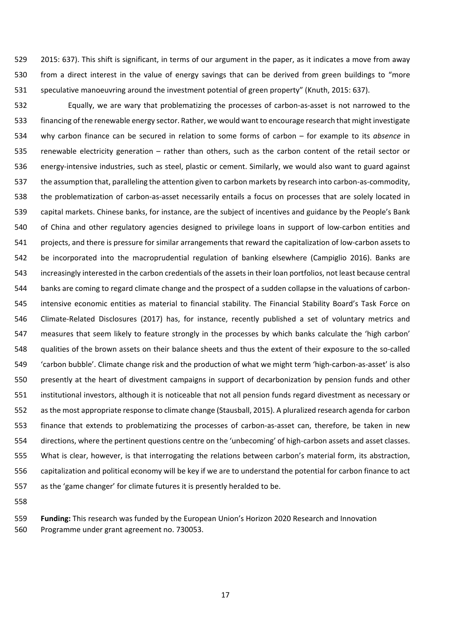2015: 637). This shift is significant, in terms of our argument in the paper, as it indicates a move from away from a direct interest in the value of energy savings that can be derived from green buildings to "more speculative manoeuvring around the investment potential of green property" (Knuth, 2015: 637).

 Equally, we are wary that problematizing the processes of carbon-as-asset is not narrowed to the financing of the renewable energy sector. Rather, we would want to encourage research that might investigate why carbon finance can be secured in relation to some forms of carbon – for example to its *absence* in renewable electricity generation – rather than others, such as the carbon content of the retail sector or energy-intensive industries, such as steel, plastic or cement. Similarly, we would also want to guard against the assumption that, paralleling the attention given to carbon markets by research into carbon-as-commodity, the problematization of carbon-as-asset necessarily entails a focus on processes that are solely located in capital markets. Chinese banks, for instance, are the subject of incentives and guidance by the People's Bank of China and other regulatory agencies designed to privilege loans in support of low-carbon entities and projects, and there is pressure for similar arrangements that reward the capitalization of low-carbon assets to be incorporated into the macroprudential regulation of banking elsewhere (Campiglio 2016). Banks are increasingly interested in the carbon credentials of the assets in their loan portfolios, not least because central banks are coming to regard climate change and the prospect of a sudden collapse in the valuations of carbon- intensive economic entities as material to financial stability. The Financial Stability Board's Task Force on Climate-Related Disclosures (2017) has, for instance, recently published a set of voluntary metrics and measures that seem likely to feature strongly in the processes by which banks calculate the 'high carbon' qualities of the brown assets on their balance sheets and thus the extent of their exposure to the so-called 'carbon bubble'. Climate change risk and the production of what we might term 'high-carbon-as-asset' is also presently at the heart of divestment campaigns in support of decarbonization by pension funds and other institutional investors, although it is noticeable that not all pension funds regard divestment as necessary or as the most appropriate response to climate change (Stausball, 2015). A pluralized research agenda for carbon finance that extends to problematizing the processes of carbon-as-asset can, therefore, be taken in new directions, where the pertinent questions centre on the 'unbecoming' of high-carbon assets and asset classes. What is clear, however, is that interrogating the relations between carbon's material form, its abstraction, capitalization and political economy will be key if we are to understand the potential for carbon finance to act as the 'game changer' for climate futures it is presently heralded to be.

 **Funding:** This research was funded by the European Union's Horizon 2020 Research and Innovation Programme under grant agreement no. 730053.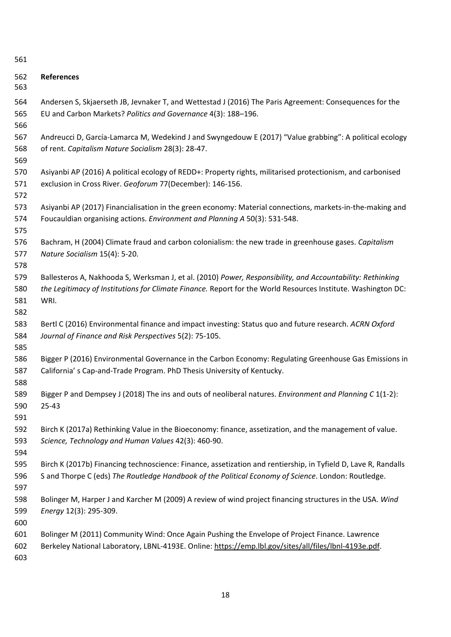### **References**

- Andersen S, Skjaerseth JB, Jevnaker T, and Wettestad J (2016) The Paris Agreement: Consequences for the EU and Carbon Markets? *Politics and Governance* 4(3): 188–196.
- Andreucci D, García-Lamarca M, Wedekind J and Swyngedouw E (2017) "Value grabbing": A political ecology of rent. *Capitalism Nature Socialism* 28(3): 28-47.
- Asiyanbi AP (2016) A political ecology of REDD+: Property rights, militarised protectionism, and carbonised exclusion in Cross River. *Geoforum* 77(December): 146-156.
- Asiyanbi AP (2017) Financialisation in the green economy: Material connections, markets-in-the-making and Foucauldian organising actions. *Environment and Planning A* 50(3): 531-548.
- Bachram, H (2004) Climate fraud and carbon colonialism: the new trade in greenhouse gases. *Capitalism Nature Socialism* 15(4): 5-20.
- Ballesteros A, Nakhooda S, Werksman J, et al. (2010) *Power, Responsibility, and Accountability: Rethinking the Legitimacy of Institutions for Climate Finance.* Report for the World Resources Institute. Washington DC: WRI.
- Bertl C (2016) Environmental finance and impact investing: Status quo and future research. *ACRN Oxford Journal of Finance and Risk Perspectives* 5(2): 75-105.
- Bigger P (2016) Environmental Governance in the Carbon Economy: Regulating Greenhouse Gas Emissions in California' s Cap-and-Trade Program. PhD Thesis University of Kentucky.
- Bigger P and Dempsey J (2018) The ins and outs of neoliberal natures. *Environment and Planning C* 1(1-2): 25-43
- 

- Birch K (2017a) Rethinking Value in the Bioeconomy: finance, assetization, and the management of value. *Science, Technology and Human Values* 42(3): 460-90.
- Birch K (2017b) Financing technoscience: Finance, assetization and rentiership, in Tyfield D, Lave R, Randalls S and Thorpe C (eds) *The Routledge Handbook of the Political Economy of Science*. London: Routledge.
- Bolinger M, Harper J and Karcher M (2009) A review of wind project financing structures in the USA. *Wind Energy* 12(3): 295-309.
- 
- Bolinger M (2011) Community Wind: Once Again Pushing the Envelope of Project Finance. Lawrence Berkeley National Laboratory, LBNL-4193E. Online: [https://emp.lbl.gov/sites/all/files/lbnl-4193e.pdf.](https://emp.lbl.gov/sites/all/files/lbnl-4193e.pdf)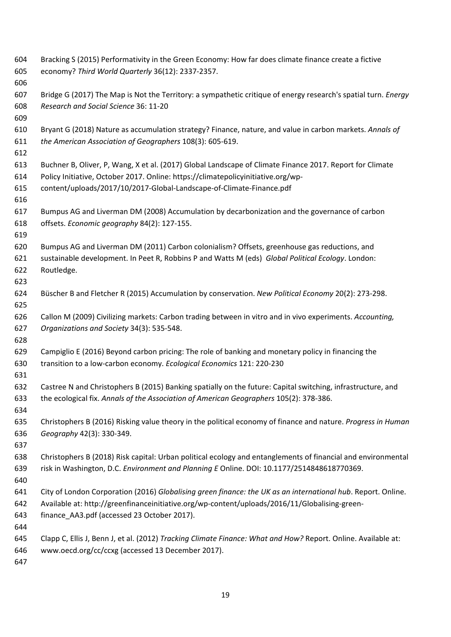Bracking S (2015) Performativity in the Green Economy: How far does climate finance create a fictive economy? *Third World Quarterly* 36(12): 2337-2357. Bridge G (2017) The Map is Not the Territory: a sympathetic critique of energy research's spatial turn. *Energy Research and Social Science* 36: 11-20 Bryant G (2018) Nature as accumulation strategy? Finance, nature, and value in carbon markets. *Annals of the American Association of Geographers* 108(3): 605-619. Buchner B, Oliver, P, Wang, X et al. (2017) Global Landscape of Climate Finance 2017. Report for Climate Policy Initiative, October 2017. Online: https://climatepolicyinitiative.org/wp- content/uploads/2017/10/2017-Global-Landscape-of-Climate-Finance.pdf Bumpus AG and Liverman DM (2008) Accumulation by decarbonization and the governance of carbon offsets. *Economic geography* 84(2): 127-155. Bumpus AG and Liverman DM (2011) Carbon colonialism? Offsets, greenhouse gas reductions, and sustainable development. In Peet R, Robbins P and Watts M (eds) *Global Political Ecology*. London: Routledge. Büscher B and Fletcher R (2015) Accumulation by conservation. *New Political Economy* 20(2): 273-298. Callon M (2009) Civilizing markets: Carbon trading between in vitro and in vivo experiments. *Accounting, Organizations and Society* 34(3): 535-548. Campiglio E (2016) Beyond carbon pricing: The role of banking and monetary policy in financing the transition to a low-carbon economy. *Ecological Economics* 121: 220-230 Castree N and Christophers B (2015) Banking spatially on the future: Capital switching, infrastructure, and the ecological fix. *Annals of the Association of American Geographers* 105(2): 378-386. Christophers B (2016) Risking value theory in the political economy of finance and nature. *Progress in Human Geography* 42(3): 330-349. Christophers B (2018) Risk capital: Urban political ecology and entanglements of financial and environmental risk in Washington, D.C. *Environment and Planning E* Online. DOI: 10.1177/2514848618770369. City of London Corporation (2016) *Globalising green finance: the UK as an international hub*. Report. Online. Available at: http://greenfinanceinitiative.org/wp-content/uploads/2016/11/Globalising-green- finance\_AA3.pdf (accessed 23 October 2017). Clapp C, Ellis J, Benn J, et al. (2012) *Tracking Climate Finance: What and How?* Report. Online. Available at: www.oecd.org/cc/ccxg (accessed 13 December 2017).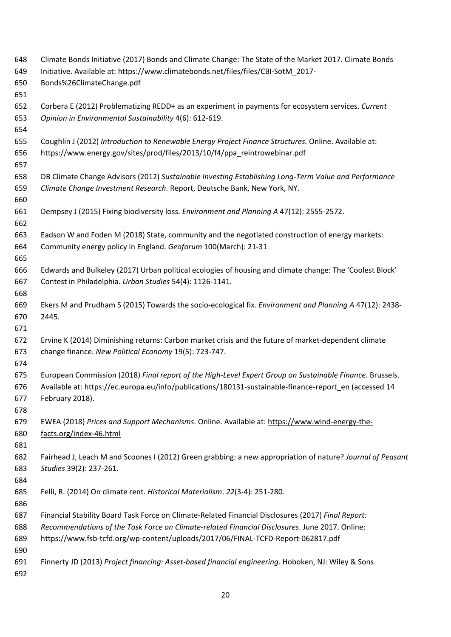| 648        | Climate Bonds Initiative (2017) Bonds and Climate Change: The State of the Market 2017. Climate Bonds      |
|------------|------------------------------------------------------------------------------------------------------------|
| 649        | Initiative. Available at: https://www.climatebonds.net/files/files/CBI-SotM_2017-                          |
| 650        | Bonds%26ClimateChange.pdf                                                                                  |
| 651        |                                                                                                            |
| 652        | Corbera E (2012) Problematizing REDD+ as an experiment in payments for ecosystem services. Current         |
| 653        | Opinion in Environmental Sustainability 4(6): 612-619.                                                     |
| 654        |                                                                                                            |
| 655        | Coughlin J (2012) Introduction to Renewable Energy Project Finance Structures. Online. Available at:       |
| 656        | https://www.energy.gov/sites/prod/files/2013/10/f4/ppa_reintrowebinar.pdf                                  |
| 657        |                                                                                                            |
| 658        | DB Climate Change Advisors (2012) Sustainable Investing Establishing Long-Term Value and Performance       |
| 659        | Climate Change Investment Research. Report, Deutsche Bank, New York, NY.                                   |
| 660        |                                                                                                            |
| 661        | Dempsey J (2015) Fixing biodiversity loss. Environment and Planning A 47(12): 2555-2572.                   |
| 662        |                                                                                                            |
| 663        | Eadson W and Foden M (2018) State, community and the negotiated construction of energy markets:            |
| 664        | Community energy policy in England. Geoforum 100(March): 21-31                                             |
| 665        |                                                                                                            |
| 666        | Edwards and Bulkeley (2017) Urban political ecologies of housing and climate change: The 'Coolest Block'   |
| 667        | Contest in Philadelphia. Urban Studies 54(4): 1126-1141.                                                   |
| 668        |                                                                                                            |
| 669        | Ekers M and Prudham S (2015) Towards the socio-ecological fix. Environment and Planning A 47(12): 2438-    |
| 670        | 2445.                                                                                                      |
| 671        |                                                                                                            |
| 672        | Ervine K (2014) Diminishing returns: Carbon market crisis and the future of market-dependent climate       |
| 673        | change finance. New Political Economy 19(5): 723-747.                                                      |
| 674        |                                                                                                            |
| 675        | European Commission (2018) Final report of the High-Level Expert Group on Sustainable Finance. Brussels.   |
| 676        | Available at: https://ec.europa.eu/info/publications/180131-sustainable-finance-report_en (accessed 14     |
| 677        | February 2018).                                                                                            |
| 678        |                                                                                                            |
| 679        | EWEA (2018) Prices and Support Mechanisms. Online. Available at: https://www.wind-energy-the-              |
| 680        | facts.org/index-46.html                                                                                    |
| 681<br>682 | Fairhead J, Leach M and Scoones I (2012) Green grabbing: a new appropriation of nature? Journal of Peasant |
| 683        | Studies 39(2): 237-261.                                                                                    |
| 684        |                                                                                                            |
| 685        | Felli, R. (2014) On climate rent. Historical Materialism. 22(3-4): 251-280.                                |
| 686        |                                                                                                            |
| 687        | Financial Stability Board Task Force on Climate-Related Financial Disclosures (2017) Final Report:         |
| 688        | Recommendations of the Task Force on Climate-related Financial Disclosures. June 2017. Online:             |
| 689        | https://www.fsb-tcfd.org/wp-content/uploads/2017/06/FINAL-TCFD-Report-062817.pdf                           |
| 690        |                                                                                                            |
| 691        | Finnerty JD (2013) Project financing: Asset-based financial engineering. Hoboken, NJ: Wiley & Sons         |
| 692        |                                                                                                            |
|            |                                                                                                            |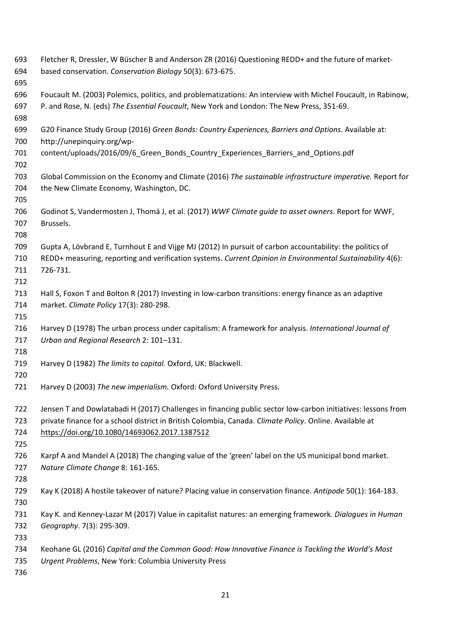| 693 | Fletcher R, Dressler, W Büscher B and Anderson ZR (2016) Questioning REDD+ and the future of market-         |
|-----|--------------------------------------------------------------------------------------------------------------|
| 694 | based conservation. Conservation Biology 50(3): 673-675.                                                     |
| 695 |                                                                                                              |
| 696 | Foucault M. (2003) Polemics, politics, and problematizations: An interview with Michel Foucault, in Rabinow, |
| 697 | P. and Rose, N. (eds) The Essential Foucault, New York and London: The New Press, 351-69.                    |
| 698 |                                                                                                              |
| 699 | G20 Finance Study Group (2016) Green Bonds: Country Experiences, Barriers and Options. Available at:         |
| 700 | http://unepinquiry.org/wp-                                                                                   |
| 701 | content/uploads/2016/09/6 Green Bonds Country Experiences Barriers and Options.pdf                           |
| 702 |                                                                                                              |
| 703 | Global Commission on the Economy and Climate (2016) The sustainable infrastructure imperative. Report for    |
| 704 | the New Climate Economy, Washington, DC.                                                                     |
| 705 |                                                                                                              |
| 706 | Godinot S, Vandermosten J, Thomä J, et al. (2017) WWF Climate quide to asset owners. Report for WWF,         |
| 707 | Brussels.                                                                                                    |
| 708 |                                                                                                              |
| 709 | Gupta A, Lövbrand E, Turnhout E and Vijge MJ (2012) In pursuit of carbon accountability: the politics of     |
| 710 | REDD+ measuring, reporting and verification systems. Current Opinion in Environmental Sustainability 4(6):   |
| 711 | 726-731.                                                                                                     |
| 712 |                                                                                                              |
| 713 | Hall S, Foxon T and Bolton R (2017) Investing in low-carbon transitions: energy finance as an adaptive       |
| 714 | market. Climate Policy 17(3): 280-298.                                                                       |
| 715 |                                                                                                              |
| 716 | Harvey D (1978) The urban process under capitalism: A framework for analysis. International Journal of       |
| 717 | Urban and Regional Research 2: 101-131.                                                                      |
| 718 |                                                                                                              |
| 719 | Harvey D (1982) The limits to capital. Oxford, UK: Blackwell.                                                |
| 720 |                                                                                                              |
| 721 | Harvey D (2003) The new imperialism. Oxford: Oxford University Press.                                        |
| 722 | Jensen T and Dowlatabadi H (2017) Challenges in financing public sector low-carbon initiatives: lessons from |
| 723 | private finance for a school district in British Colombia, Canada. Climate Policy. Online. Available at      |
| 724 | https://doi.org/10.1080/14693062.2017.1387512                                                                |
| 725 |                                                                                                              |
| 726 | Karpf A and Mandel A (2018) The changing value of the 'green' label on the US municipal bond market.         |
| 727 | Nature Climate Change 8: 161-165.                                                                            |
| 728 |                                                                                                              |
| 729 | Kay K (2018) A hostile takeover of nature? Placing value in conservation finance. Antipode 50(1): 164-183.   |
| 730 |                                                                                                              |
| 731 | Kay K. and Kenney-Lazar M (2017) Value in capitalist natures: an emerging framework. Dialogues in Human      |
| 732 | Geography. 7(3): 295-309.                                                                                    |
| 733 |                                                                                                              |
| 734 | Keohane GL (2016) Capital and the Common Good: How Innovative Finance is Tackling the World's Most           |
| 735 | Urgent Problems, New York: Columbia University Press                                                         |
| 736 |                                                                                                              |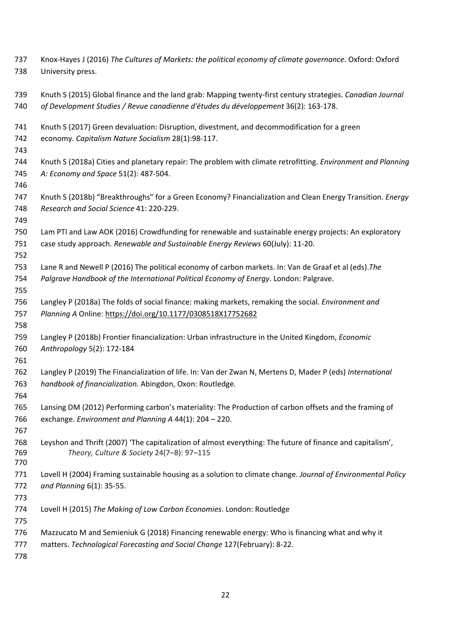Knox-Hayes J (2016) *The Cultures of Markets: the political economy of climate governance*. Oxford: Oxford University press. Knuth S (2015) [Global finance and the land grab: Mapping twenty-first century strategies.](https://www.dur.ac.uk/research/directory/staff/?mode=pdetail&id=16321&sid=16321&pdetail=115769) *Canadian Journal of Development Studies / Revue canadienne d'études du développement* 36(2): 163-178. Knuth S (2017) Green devaluation: Disruption, divestment, and decommodification for a green economy. *Capitalism Nature Socialism* 28(1):98-117. Knuth S (2018a) [Cities and planetary repair: The problem with climate retrofitting.](https://www.dur.ac.uk/research/directory/staff/?mode=pdetail&id=16321&sid=16321&pdetail=117310) *Environment and Planning A: Economy and Space* 51(2): 487-504. Knuth S (2018b) ["Breakthroughs" for a Green Economy? Financialization and Clean Energy Transition.](https://www.dur.ac.uk/research/directory/staff/?mode=pdetail&id=16321&sid=16321&pdetail=115508) *Energy Research and Social Science* 41: 220-229. Lam PTI and Law AOK (2016) Crowdfunding for renewable and sustainable energy projects: An exploratory case study approach. *Renewable and Sustainable Energy Reviews* 60(July): 11-20. Lane R and Newell P (2016) The political economy of carbon markets. In: Van de Graaf et al (eds).*The Palgrave Handbook of the International Political Economy of Energy*. London: Palgrave. Langley P (2018a) The folds of social finance: making markets, remaking the social. *Environment and Planning A* Online:<https://doi.org/10.1177/0308518X17752682> Langley P (2018b) Frontier financialization: Urban infrastructure in the United Kingdom, *Economic Anthropology* 5(2): 172-184 Langley P (2019) The Financialization of life. In: Van der Zwan N, Mertens D, Mader P (eds) *International handbook of financialization.* Abingdon, Oxon: Routledge. Lansing DM (2012) Performing carbon's materiality: The Production of carbon offsets and the framing of exchange. *Environment and Planning A* 44(1): 204 – 220. Leyshon and Thrift (2007) 'The capitalization of almost everything: The future of finance and capitalism', *Theory, Culture & Society* 24(7–8): 97–115 Lovell H (2004) Framing sustainable housing as a solution to climate change. *Journal of Environmental Policy and Planning* 6(1): 35-55. Lovell H (2015) *The Making of Low Carbon Economies*. London: Routledge Mazzucato M and Semieniuk G (2018) Financing renewable energy: Who is financing what and why it matters. *Technological Forecasting and Social Change* 127(February): 8-22.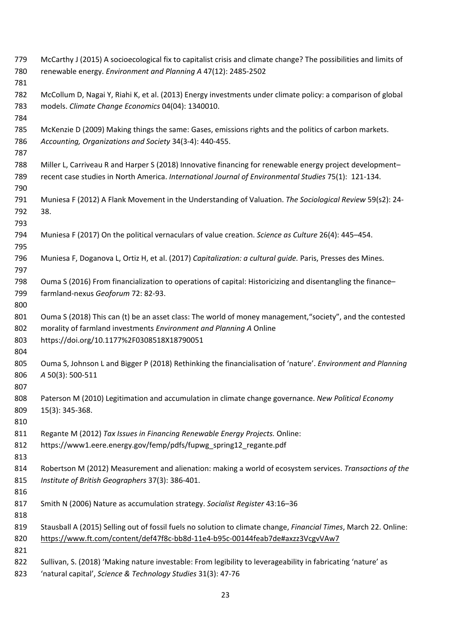McCarthy J (2015) A socioecological fix to capitalist crisis and climate change? The possibilities and limits of renewable energy. *Environment and Planning A* 47(12): 2485-2502 McCollum D, Nagai Y, Riahi K, et al. (2013) Energy investments under climate policy: a comparison of global models. *Climate Change Economics* 04(04): 1340010. McKenzie D (2009) Making things the same: Gases, emissions rights and the politics of carbon markets. *Accounting, Organizations and Society* 34(3-4): 440-455. Miller L, Carriveau R and Harper S (2018) Innovative financing for renewable energy project development– recent case studies in North America. *International Journal of Environmental Studies* 75(1): 121-134. Muniesa F (2012) A Flank Movement in the Understanding of Valuation. *The Sociological Review* 59(s2): 24- 38. Muniesa F (2017) On the political vernaculars of value creation. *Science as Culture* 26(4): 445–454. Muniesa F, Doganova L, Ortiz H, et al. (2017) *Capitalization: a cultural guide.* Paris, Presses des Mines. Ouma S (2016) From financialization [to operations of capital: Historicizing and disentangling the finance–](javascript:void(0)) [farmland-nexus](javascript:void(0)) *Geoforum* 72: 82-93. Ouma S (2018) [This can \(t\) be an asset class: The world of money management,"society", and the contested](javascript:void(0))  [morality of farmland investments](javascript:void(0)) *Environment and Planning A* Online https://doi.org/10.1177%2F0308518X18790051 Ouma S, Johnson L and Bigger P (2018) Rethinking the financialisation of 'nature'. *Environment and Planning A* 50(3): 500-511 Paterson M (2010) Legitimation and accumulation in climate change governance. *New Political Economy* 15(3): 345-368. Regante M (2012) *Tax Issues in Financing Renewable Energy Projects.* Online: https://www1.eere.energy.gov/femp/pdfs/fupwg\_spring12\_regante.pdf Robertson M (2012) Measurement and alienation: making a world of ecosystem services. *Transactions of the Institute of British Geographers* 37(3): 386-401. Smith N (2006) Nature as accumulation strategy. *Socialist Register* 43:16–36 Stausball A (2015) Selling out of fossil fuels no solution to climate change, *Financial Times*, March 22. Online: <https://www.ft.com/content/def47f8c-bb8d-11e4-b95c-00144feab7de#axzz3VcgvVAw7> Sullivan, S. (2018) 'Making nature investable: From legibility to leverageability in fabricating 'nature' as 'natural capital', *Science & Technology Studies* 31(3): 47-76